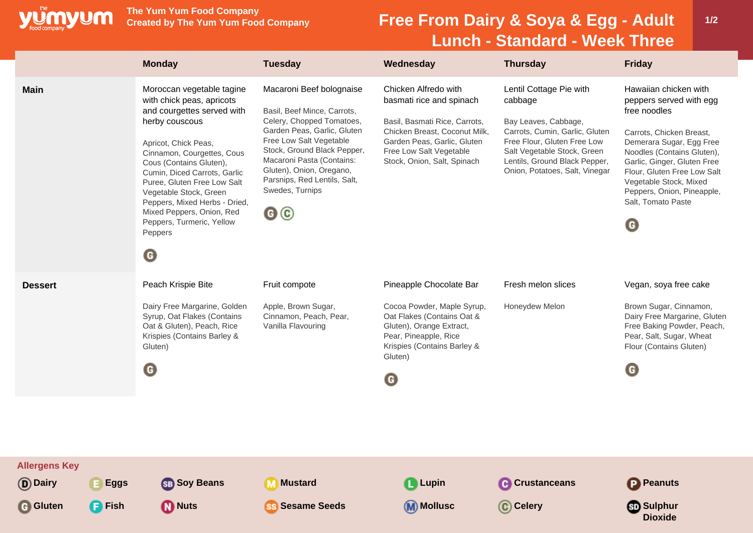

**The Yum Yum Food Company**

## **Free From Dairy & Soya & Egg - Adult Lunch - Standard - Week Three**

|                                                      |                       | <b>Monday</b>                                                                                                                                                                                                                                                                                                                                                                                                   | <b>Tuesday</b>                                                                                                                                                                                                                                                                                  | Wednesday                                                                                                                                                                                                   | <b>Thursday</b>                                                                                                                                                                                                               | <b>Friday</b>                                                                                                                                                                                                                                                                                           |
|------------------------------------------------------|-----------------------|-----------------------------------------------------------------------------------------------------------------------------------------------------------------------------------------------------------------------------------------------------------------------------------------------------------------------------------------------------------------------------------------------------------------|-------------------------------------------------------------------------------------------------------------------------------------------------------------------------------------------------------------------------------------------------------------------------------------------------|-------------------------------------------------------------------------------------------------------------------------------------------------------------------------------------------------------------|-------------------------------------------------------------------------------------------------------------------------------------------------------------------------------------------------------------------------------|---------------------------------------------------------------------------------------------------------------------------------------------------------------------------------------------------------------------------------------------------------------------------------------------------------|
| <b>Main</b>                                          |                       | Moroccan vegetable tagine<br>with chick peas, apricots<br>and courgettes served with<br>herby couscous<br>Apricot, Chick Peas,<br>Cinnamon, Courgettes, Cous<br>Cous (Contains Gluten),<br>Cumin, Diced Carrots, Garlic<br>Puree, Gluten Free Low Salt<br>Vegetable Stock, Green<br>Peppers, Mixed Herbs - Dried,<br>Mixed Peppers, Onion, Red<br>Peppers, Turmeric, Yellow<br>Peppers<br>$\boldsymbol{\Theta}$ | Macaroni Beef bolognaise<br>Basil, Beef Mince, Carrots,<br>Celery, Chopped Tomatoes,<br>Garden Peas, Garlic, Gluten<br>Free Low Salt Vegetable<br>Stock, Ground Black Pepper,<br>Macaroni Pasta (Contains:<br>Gluten), Onion, Oregano,<br>Parsnips, Red Lentils, Salt,<br>Swedes, Turnips<br>0© | Chicken Alfredo with<br>basmati rice and spinach<br>Basil, Basmati Rice, Carrots,<br>Chicken Breast, Coconut Milk,<br>Garden Peas, Garlic, Gluten<br>Free Low Salt Vegetable<br>Stock, Onion, Salt, Spinach | Lentil Cottage Pie with<br>cabbage<br>Bay Leaves, Cabbage,<br>Carrots, Cumin, Garlic, Gluten<br>Free Flour, Gluten Free Low<br>Salt Vegetable Stock, Green<br>Lentils, Ground Black Pepper,<br>Onion, Potatoes, Salt, Vinegar | Hawaiian chicken with<br>peppers served with egg<br>free noodles<br>Carrots, Chicken Breast,<br>Demerara Sugar, Egg Free<br>Noodles (Contains Gluten),<br>Garlic, Ginger, Gluten Free<br>Flour, Gluten Free Low Salt<br>Vegetable Stock, Mixed<br>Peppers, Onion, Pineapple,<br>Salt, Tomato Paste<br>O |
| <b>Dessert</b>                                       |                       | Peach Krispie Bite<br>Dairy Free Margarine, Golden<br>Syrup, Oat Flakes (Contains<br>Oat & Gluten), Peach, Rice<br>Krispies (Contains Barley &<br>Gluten)<br>O                                                                                                                                                                                                                                                  | Fruit compote<br>Apple, Brown Sugar,<br>Cinnamon, Peach, Pear,<br>Vanilla Flavouring                                                                                                                                                                                                            | Pineapple Chocolate Bar<br>Cocoa Powder, Maple Syrup,<br>Oat Flakes (Contains Oat &<br>Gluten), Orange Extract,<br>Pear, Pineapple, Rice<br>Krispies (Contains Barley &<br>Gluten)<br>O                     | Fresh melon slices<br>Honeydew Melon                                                                                                                                                                                          | Vegan, soya free cake<br>Brown Sugar, Cinnamon,<br>Dairy Free Margarine, Gluten<br>Free Baking Powder, Peach,<br>Pear, Salt, Sugar, Wheat<br>Flour (Contains Gluten)<br>G                                                                                                                               |
| <b>Allergens Key</b><br>(D) Dairy<br><b>G</b> Gluten | E Eggs<br><b>Fish</b> | <b>SB</b> Soy Beans<br><b>D</b> Nuts                                                                                                                                                                                                                                                                                                                                                                            | <b>Mustard</b><br>M<br><b>Sesame Seeds</b>                                                                                                                                                                                                                                                      | <b>Lupin</b><br><b>M</b> Mollusc                                                                                                                                                                            | <b>C</b> Crustanceans<br>C Celery                                                                                                                                                                                             | <b>P</b> Peanuts<br><b>SD</b> Sulphur<br><b>Dioxide</b>                                                                                                                                                                                                                                                 |